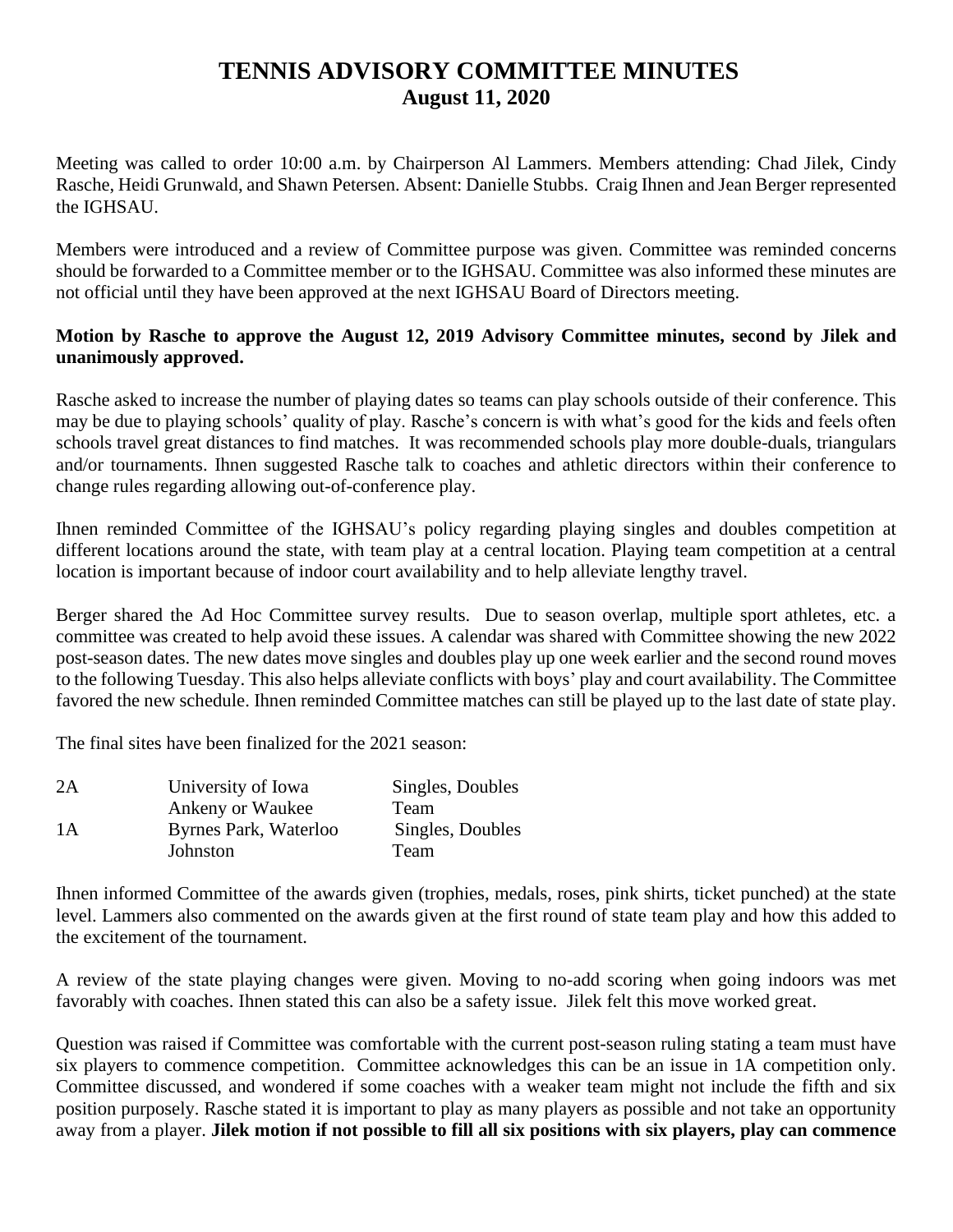## **TENNIS ADVISORY COMMITTEE MINUTES August 11, 2020**

Meeting was called to order 10:00 a.m. by Chairperson Al Lammers. Members attending: Chad Jilek, Cindy Rasche, Heidi Grunwald, and Shawn Petersen. Absent: Danielle Stubbs. Craig Ihnen and Jean Berger represented the IGHSAU.

Members were introduced and a review of Committee purpose was given. Committee was reminded concerns should be forwarded to a Committee member or to the IGHSAU. Committee was also informed these minutes are not official until they have been approved at the next IGHSAU Board of Directors meeting.

## **Motion by Rasche to approve the August 12, 2019 Advisory Committee minutes, second by Jilek and unanimously approved.**

Rasche asked to increase the number of playing dates so teams can play schools outside of their conference. This may be due to playing schools' quality of play. Rasche's concern is with what's good for the kids and feels often schools travel great distances to find matches. It was recommended schools play more double-duals, triangulars and/or tournaments. Ihnen suggested Rasche talk to coaches and athletic directors within their conference to change rules regarding allowing out-of-conference play.

Ihnen reminded Committee of the IGHSAU's policy regarding playing singles and doubles competition at different locations around the state, with team play at a central location. Playing team competition at a central location is important because of indoor court availability and to help alleviate lengthy travel.

Berger shared the Ad Hoc Committee survey results. Due to season overlap, multiple sport athletes, etc. a committee was created to help avoid these issues. A calendar was shared with Committee showing the new 2022 post-season dates. The new dates move singles and doubles play up one week earlier and the second round moves to the following Tuesday. This also helps alleviate conflicts with boys' play and court availability. The Committee favored the new schedule. Ihnen reminded Committee matches can still be played up to the last date of state play.

The final sites have been finalized for the 2021 season:

| University of Iowa    | Singles, Doubles |
|-----------------------|------------------|
| Ankeny or Waukee      | Team             |
| Byrnes Park, Waterloo | Singles, Doubles |
| Johnston              | Team             |
|                       |                  |

Ihnen informed Committee of the awards given (trophies, medals, roses, pink shirts, ticket punched) at the state level. Lammers also commented on the awards given at the first round of state team play and how this added to the excitement of the tournament.

A review of the state playing changes were given. Moving to no-add scoring when going indoors was met favorably with coaches. Ihnen stated this can also be a safety issue. Jilek felt this move worked great.

Question was raised if Committee was comfortable with the current post-season ruling stating a team must have six players to commence competition. Committee acknowledges this can be an issue in 1A competition only. Committee discussed, and wondered if some coaches with a weaker team might not include the fifth and six position purposely. Rasche stated it is important to play as many players as possible and not take an opportunity away from a player. **Jilek motion if not possible to fill all six positions with six players, play can commence**